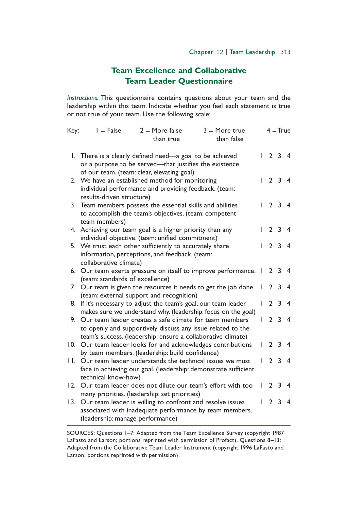## **Team Excellence and Collaborative Team Leader Questionnaire**

*Instructions:* This questionnaire contains questions about your team and the leadership within this team. Indicate whether you feel each statement is true or not true of your team. Use the following scale:

| Key: | $I = False$<br>$2 =$ More false<br>than true                                                                                                                                              | $3 = More true$<br>than false |              | $4 = True$     |                |                         |
|------|-------------------------------------------------------------------------------------------------------------------------------------------------------------------------------------------|-------------------------------|--------------|----------------|----------------|-------------------------|
|      |                                                                                                                                                                                           |                               |              |                |                |                         |
|      | 1. There is a clearly defined need—a goal to be achieved<br>or a purpose to be served-that justifies the existence                                                                        |                               |              |                | $2 \t3 \t4$    |                         |
|      | of our team. (team: clear, elevating goal)<br>2. We have an established method for monitoring<br>individual performance and providing feedback. (team:<br>results-driven structure)       |                               |              | 1234           |                |                         |
|      | 3. Team members possess the essential skills and abilities<br>to accomplish the team's objectives. (team: competent<br>team members)                                                      |                               |              |                | $2 \t3 \t4$    |                         |
|      | 4. Achieving our team goal is a higher priority than any<br>individual objective. (team: unified commitment)                                                                              |                               |              | 2 <sub>3</sub> |                |                         |
|      | 5. We trust each other sufficiently to accurately share<br>information, perceptions, and feedback. (team:<br>collaborative climate)                                                       |                               |              | $\mathcal{P}$  | 3              | $\overline{\mathbf{4}}$ |
|      | 6. Our team exerts pressure on itself to improve performance. 1 2 3 4<br>(team: standards of excellence)                                                                                  |                               |              |                |                |                         |
|      | 7. Our team is given the resources it needs to get the job done.                                                                                                                          |                               | $\mathbf{L}$ | 2 <sub>3</sub> |                | -4                      |
|      | (team: external support and recognition)<br>8. If it's necessary to adjust the team's goal, our team leader<br>makes sure we understand why. (leadership: focus on the goal)              |                               | L            |                | 2 <sub>3</sub> | - 4                     |
|      | 9. Our team leader creates a safe climate for team members<br>to openly and supportively discuss any issue related to the<br>team's success. (leadership: ensure a collaborative climate) |                               | L.           | $\mathbf{2}$   | $\overline{3}$ | $\overline{\mathbf{4}}$ |
|      | 10. Our team leader looks for and acknowledges contributions<br>by team members. (leadership: build confidence)                                                                           |                               | L            |                | 2 <sub>3</sub> | -4                      |
|      | 11. Our team leader understands the technical issues we must<br>face in achieving our goal. (leadership: demonstrate sufficient<br>technical know-how)                                    |                               |              | 2              | 3              | 4                       |
| 12.  | Our team leader does not dilute our team's effort with too<br>many priorities. (leadership: set priorities)                                                                               |                               |              | $\overline{2}$ | 3              |                         |
| 13.  | Our team leader is willing to confront and resolve issues<br>associated with inadequate performance by team members.<br>(leadership: manage performance)                                  |                               |              |                | 2 <sub>3</sub> | -4                      |

SOURCES: Questions 1–7: Adapted from the Team Excellence Survey (copyright 1987 LaFasto and Larson; portions reprinted with permission of Profact). Questions 8–13: Adapted from the Collaborative Team Leader Instrument (copyright 1996 LaFasto and Larson; portions reprinted with permission).